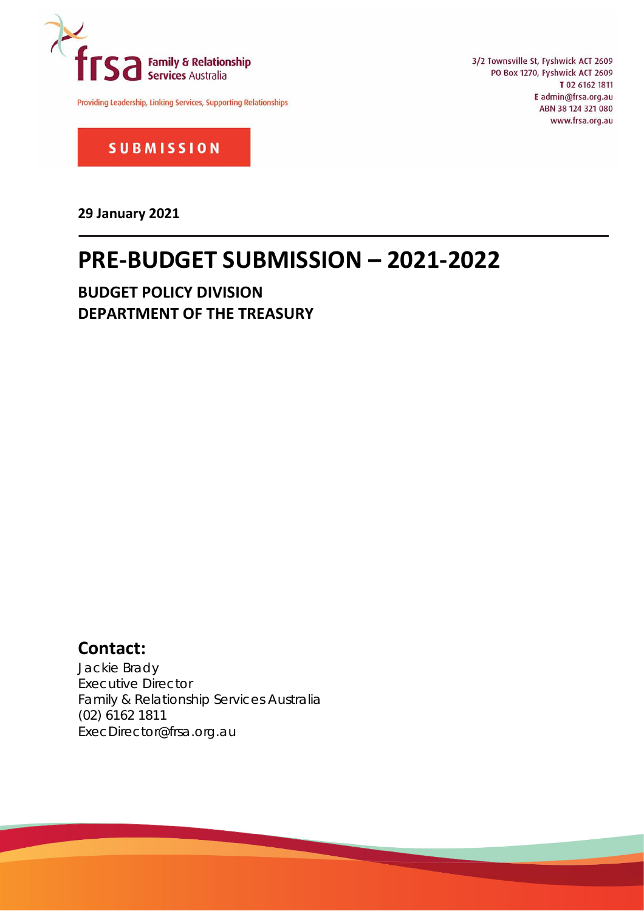

Providing Leadership, Linking Services, Supporting Relationships

3/2 Townsville St, Fyshwick ACT 2609 PO Box 1270, Fyshwick ACT 2609 T 02 6162 1811 E admin@frsa.org.au ABN 38 124 321 080 www.frsa.org.au

**SUBMISSION** 

**29 January 2021**

# **PRE-BUDGET SUBMISSION – 2021-2022**

**BUDGET POLICY DIVISION DEPARTMENT OF THE TREASURY**

# **Contact:**

Jackie Brady Executive Director Family & Relationship Services Australia (02) 6162 1811 ExecDirector@frsa.org.au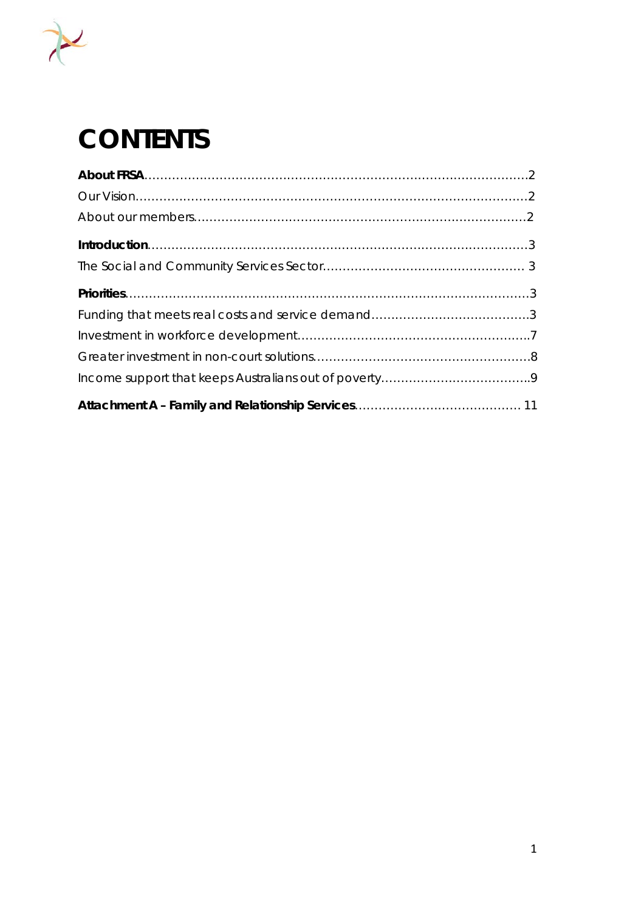

# **CONTENTS**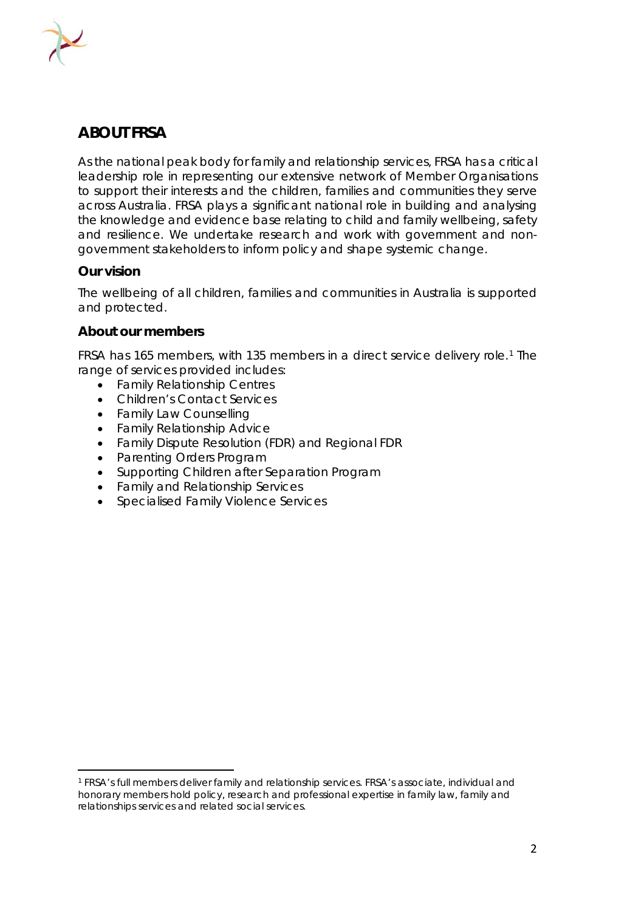

# **ABOUT FRSA**

As the national peak body for family and relationship services, FRSA has a critical leadership role in representing our extensive network of Member Organisations to support their interests and the children, families and communities they serve across Australia. FRSA plays a significant national role in building and analysing the knowledge and evidence base relating to child and family wellbeing, safety and resilience. We undertake research and work with government and nongovernment stakeholders to inform policy and shape systemic change.

# **Our vision**

The wellbeing of all children, families and communities in Australia is supported and protected.

# **About our members**

FRSA has 165 members, with 135 members in a direct service delivery role.[1](#page-2-0) The range of services provided includes:

- Family Relationship Centres
- Children's Contact Services
- Family Law Counselling
- Family Relationship Advice
- Family Dispute Resolution (FDR) and Regional FDR
- Parenting Orders Program
- Supporting Children after Separation Program
- Family and Relationship Services
- Specialised Family Violence Services

<span id="page-2-0"></span><sup>1</sup> FRSA's full members deliver family and relationship services. FRSA's associate, individual and honorary members hold policy, research and professional expertise in family law, family and relationships services and related social services.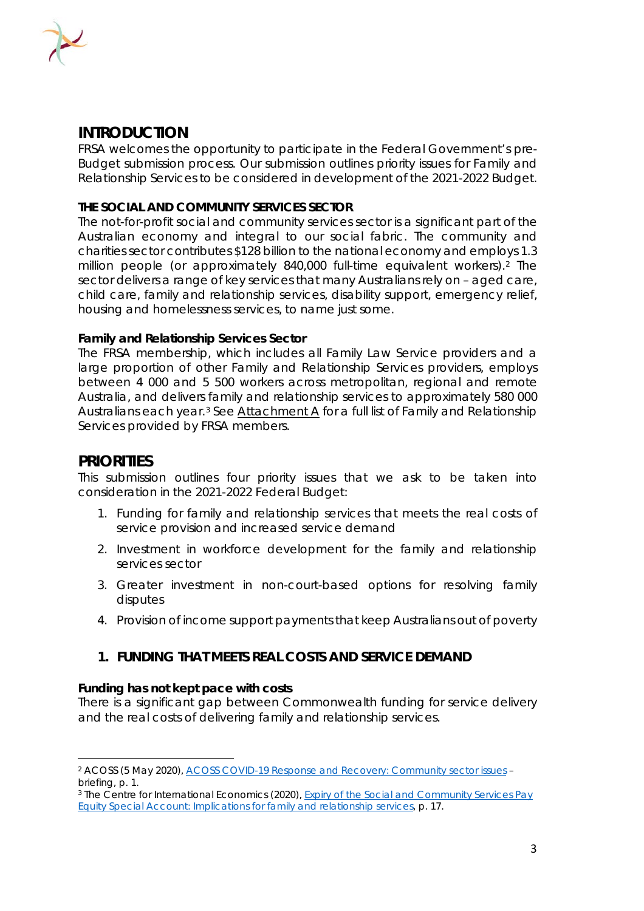

# **INTRODUCTION**

FRSA welcomes the opportunity to participate in the Federal Government's pre-Budget submission process. Our submission outlines priority issues for Family and Relationship Services to be considered in development of the 2021-2022 Budget.

## **THE SOCIAL AND COMMUNITY SERVICES SECTOR**

The not-for-profit social and community services sector is a significant part of the Australian economy and integral to our social fabric. The community and charities sector contributes \$128 billion to the national economy and employs 1.3 million people (or approximately 840,000 full-time equivalent workers).[2](#page-3-0) The sector delivers a range of key services that many Australians rely on – aged care, child care, family and relationship services, disability support, emergency relief, housing and homelessness services, to name just some.

#### **Family and Relationship Services Sector**

The FRSA membership, which includes all Family Law Service providers and a large proportion of other Family and Relationship Services providers, employs between 4 000 and 5 500 workers across metropolitan, regional and remote Australia, and delivers family and relationship services to approximately 580 000 Australians each year.[3](#page-3-1) See Attachment A for a full list of Family and Relationship Services provided by FRSA members.

# **PRIORITIES**

This submission outlines four priority issues that we ask to be taken into consideration in the 2021-2022 Federal Budget:

- 1. Funding for family and relationship services that meets the real costs of service provision and increased service demand
- 2. Investment in workforce development for the family and relationship services sector
- 3. Greater investment in non-court-based options for resolving family disputes
- 4. Provision of income support payments that keep Australians out of poverty

# **1. FUNDING THAT MEETS REAL COSTS AND SERVICE DEMAND**

#### **Funding has not kept pace with costs**

There is a significant gap between Commonwealth funding for service delivery and the real costs of delivering family and relationship services.

<span id="page-3-0"></span><sup>2</sup> ACOSS (5 May 2020), *[ACOSS COVID-19 Response and Recovery: Community sector](https://www.acoss.org.au/wp-content/uploads/2020/05/Recovery-from-COVID_Community-Services-briefing-note-v2.pdf) issues – briefing*, p. 1.

<span id="page-3-1"></span><sup>3</sup> The Centre for International Economics (2020), *[Expiry of the Social and Community Services Pay](https://frsa.org.au/wp-content/uploads/2020/03/CIE-Final-Report_FRSA_Funding-and-productivity-24-March-2020_FINAL.pdf) [Equity Special Account: Implications for family and relationship services,](https://frsa.org.au/wp-content/uploads/2020/03/CIE-Final-Report_FRSA_Funding-and-productivity-24-March-2020_FINAL.pdf)* p. 17.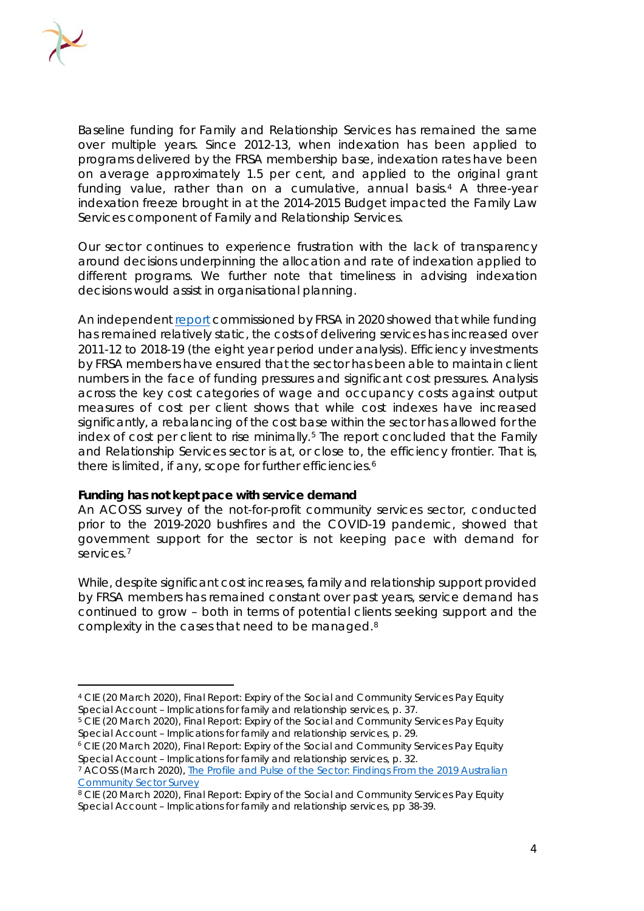

Baseline funding for Family and Relationship Services has remained the same over multiple years. Since 2012-13, when indexation has been applied to programs delivered by the FRSA membership base, indexation rates have been on average approximately 1.5 per cent, and applied to the original grant funding value, rather than on a cumulative, annual basis[.4](#page-4-0) A three-year indexation freeze brought in at the 2014-2015 Budget impacted the Family Law Services component of Family and Relationship Services.

Our sector continues to experience frustration with the lack of transparency around decisions underpinning the allocation and rate of indexation applied to different programs. We further note that timeliness in advising indexation decisions would assist in organisational planning.

An independen[t report](https://frsa.org.au/wp-content/uploads/2020/03/CIE-Final-Report_FRSA_Funding-and-productivity-24-March-2020_FINAL.pdf) commissioned by FRSA in 2020 showed that while funding has remained relatively static, the costs of delivering services has increased over 2011-12 to 2018-19 (the eight year period under analysis). Efficiency investments by FRSA members have ensured that the sector has been able to maintain client numbers in the face of funding pressures and significant cost pressures. Analysis across the key cost categories of wage and occupancy costs against output measures of cost per client shows that while cost indexes have increased significantly, a rebalancing of the cost base within the sector has allowed for the index of cost per client to rise minimally.<sup>[5](#page-4-1)</sup> The report concluded that the Family and Relationship Services sector is at, or close to, the efficiency frontier. That is, there is limited, if any, scope for further efficiencies.<sup>[6](#page-4-2)</sup>

#### **Funding has not kept pace with service demand**

An ACOSS survey of the not-for-profit community services sector, conducted prior to the 2019-2020 bushfires and the COVID-19 pandemic, showed that government support for the sector is not keeping pace with demand for services.<sup>[7](#page-4-3)</sup>

While, despite significant cost increases, family and relationship support provided by FRSA members has remained constant over past years, service demand has continued to grow – both in terms of potential clients seeking support and the complexity in the cases that need to be managed.[8](#page-4-4)

<span id="page-4-0"></span><sup>4</sup> CIE (20 March 2020), *Final Report: Expiry of the Social and Community Services Pay Equity Special Account – Implications for family and relationship services*, p. 37.

<span id="page-4-1"></span><sup>&</sup>lt;sup>5</sup> CIE (20 March 2020), *Final Report: Expiry of the Social and Community Services Pay Equity Special Account – Implications for family and relationship services*, p. 29.

<span id="page-4-2"></span><sup>6</sup> CIE (20 March 2020), *Final Report: Expiry of the Social and Community Services Pay Equity Special Account – Implications for family and relationship services*, p. 32.

<span id="page-4-3"></span><sup>7</sup> ACOSS (March 2020), *[The Profile and Pulse of the Sector: Findings From the 2019 Australian](https://www.acoss.org.au/the-profile-and-pulse-of-the-sector-findings-from-the-2019-australian-community-sector-survey/)  [Community Sector Survey](https://www.acoss.org.au/the-profile-and-pulse-of-the-sector-findings-from-the-2019-australian-community-sector-survey/)*

<span id="page-4-4"></span><sup>8</sup> CIE (20 March 2020), *Final Report: Expiry of the Social and Community Services Pay Equity Special Account – Implications for family and relationship services,* pp 38-39.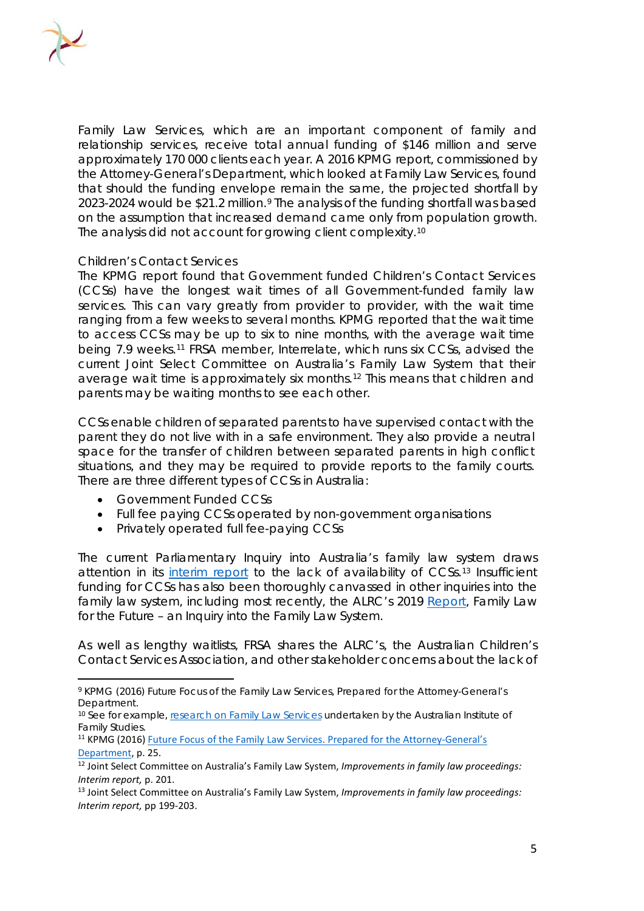

Family Law Services, which are an important component of family and relationship services, receive total annual funding of \$146 million and serve approximately 170 000 clients each year. A 2016 KPMG report, commissioned by the Attorney-General's Department, which looked at Family Law Services, found that should the funding envelope remain the same, the projected shortfall by 2023-2024 would be \$21.2 million.<sup>[9](#page-5-0)</sup> The analysis of the funding shortfall was based on the assumption that increased demand came only from population growth. The analysis did not account for growing client complexity.[10](#page-5-1)

#### *Children's Contact Services*

The KPMG report found that Government funded Children's Contact Services (CCSs) have the longest wait times of all Government-funded family law services. This can vary greatly from provider to provider, with the wait time ranging from a few weeks to several months. KPMG reported that the wait time to access CCSs may be up to six to nine months, with the average wait time being 7.9 weeks.[11](#page-5-2) FRSA member, Interrelate, which runs six CCSs, advised the current Joint Select Committee on Australia's Family Law System that their average wait time is approximately six months.[12](#page-5-3) This means that children and parents may be waiting months to see each other.

CCSs enable children of separated parents to have supervised contact with the parent they do not live with in a safe environment. They also provide a neutral space for the transfer of children between separated parents in high conflict situations, and they may be required to provide reports to the family courts. There are three different types of CCSs in Australia:

- Government Funded CCSs
- Full fee paying CCSs operated by non-government organisations
- Privately operated full fee-paying CCSs

The current Parliamentary Inquiry into Australia's family law system draws attention in its [interim report](https://www.aph.gov.au/Parliamentary_Business/Committees/Joint/Family_Law_System/FamilyLaw/Interim_Report) to the lack of availability of CCSs.<sup>[13](#page-5-4)</sup> Insufficient funding for CCSs has also been thoroughly canvassed in other inquiries into the family law system, including most recently, the ALRC's 2019 [Report,](https://www.alrc.gov.au/wp-content/uploads/2019/08/alrc_report_135_final_report_web-min_12_optimized_1-1.pdf) *Family Law for the Future – an Inquiry into the Family Law System.*

As well as lengthy waitlists, FRSA shares the ALRC's, the Australian Children's Contact Services Association, and other stakeholder concerns about the lack of

<span id="page-5-0"></span><sup>9</sup> KPMG (2016) *Future Focus of the Family Law Services*, Prepared for the Attorney-General's Department.

<span id="page-5-1"></span><sup>&</sup>lt;sup>10</sup> See for example, [research on Family Law Services](https://aifs.gov.au/cfca/2016/08/03/separated-parents-and-family-law-system-what-does-evidence-say) undertaken by the Australian Institute of Family Studies.

<span id="page-5-2"></span><sup>&</sup>lt;sup>11</sup> KPMG (2016) Future Focus of the Family Law Services. Prepared for the Attorney-General's [Department,](https://www.ag.gov.au/sites/default/files/2020-03/AGD-Family-Law-Services-Final-Report.pdf) p. 25.

<span id="page-5-3"></span><sup>12</sup> Joint Select Committee on Australia's Family Law System, *Improvements in family law proceedings: Interim report,* p. 201.

<span id="page-5-4"></span><sup>13</sup> Joint Select Committee on Australia's Family Law System, *Improvements in family law proceedings: Interim report,* pp 199-203.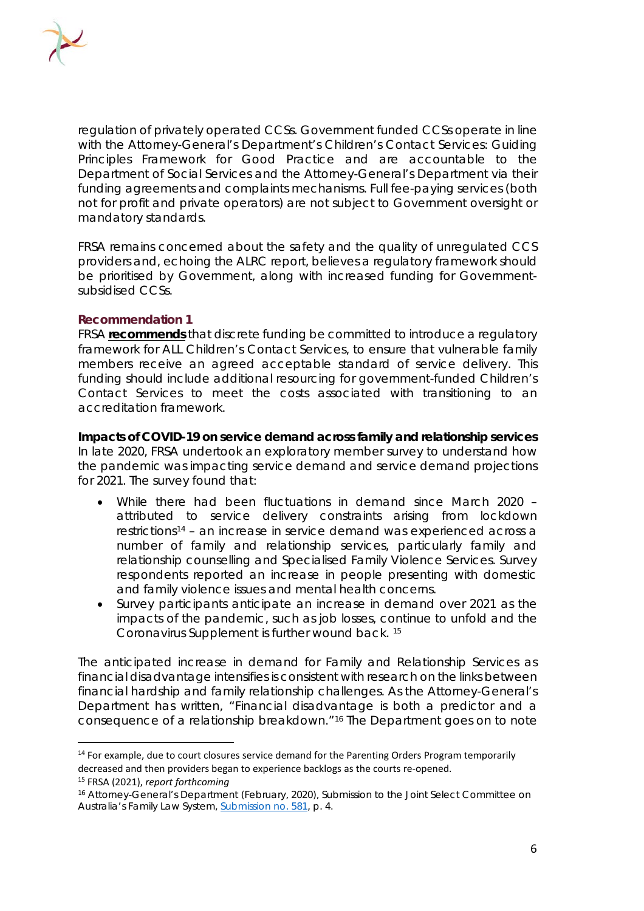

regulation of privately operated CCSs. Government funded CCSs operate in line with the Attorney-General's Department's *Children's Contact Services: Guiding Principles Framework for Good Practice* and are accountable to the Department of Social Services and the Attorney-General's Department via their funding agreements and complaints mechanisms. Full fee-paying services (both not for profit and private operators) are not subject to Government oversight or mandatory standards.

FRSA remains concerned about the safety and the quality of unregulated CCS providers and, echoing the ALRC report, believes a regulatory framework should be prioritised by Government, along with increased funding for Governmentsubsidised CCSs.

#### **Recommendation 1**

FRSA **recommends** that discrete funding be committed to introduce a regulatory framework for ALL Children's Contact Services, to ensure that vulnerable family members receive an agreed acceptable standard of service delivery. This funding should include additional resourcing for government-funded Children's Contact Services to meet the costs associated with transitioning to an accreditation framework.

**Impacts of COVID-19 on service demand across family and relationship services** In late 2020, FRSA undertook an exploratory member survey to understand how the pandemic was impacting service demand and service demand projections for 2021. The survey found that:

- While there had been fluctuations in demand since March 2020 attributed to service delivery constraints arising from lockdown restrictions[14](#page-6-0) – an increase in service demand was experienced across a number of family and relationship services, particularly family and relationship counselling and Specialised Family Violence Services. Survey respondents reported an increase in people presenting with domestic and family violence issues and mental health concerns.
- Survey participants anticipate an increase in demand over 2021 as the impacts of the pandemic, such as job losses, continue to unfold and the Coronavirus Supplement is further wound back. [15](#page-6-1)

The anticipated increase in demand for Family and Relationship Services as financial disadvantage intensifies is consistent with research on the links between financial hardship and family relationship challenges. As the Attorney-General's Department has written, "Financial disadvantage is both a predictor and a consequence of a relationship breakdown."[16](#page-6-2) The Department goes on to note

<span id="page-6-0"></span><sup>&</sup>lt;sup>14</sup> For example, due to court closures service demand for the Parenting Orders Program temporarily decreased and then providers began to experience backlogs as the courts re-opened. <sup>15</sup> FRSA (2021), *report forthcoming*

<span id="page-6-2"></span><span id="page-6-1"></span><sup>16</sup> Attorney-General's Department (February, 2020), Submission to the Joint Select Committee on Australia's Family Law System[, Submission no. 581,](https://www.aph.gov.au/Parliamentary_Business/Committees/Joint/Family_Law_System/FamilyLaw/Submissions) p. 4.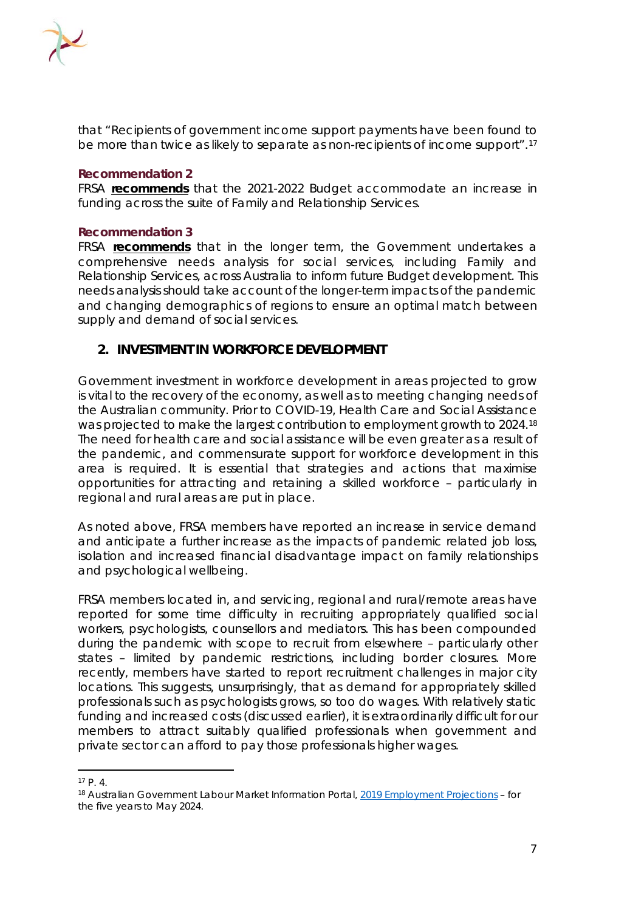

that "Recipients of government income support payments have been found to be more than twice as likely to separate as non-recipients of income support".<sup>[17](#page-7-0)</sup>

#### **Recommendation 2**

FRSA **recommends** that the 2021-2022 Budget accommodate an increase in funding across the suite of Family and Relationship Services.

#### **Recommendation 3**

FRSA **recommends** that in the longer term, the Government undertakes a comprehensive needs analysis for social services, including Family and Relationship Services, across Australia to inform future Budget development. This needs analysis should take account of the longer-term impacts of the pandemic and changing demographics of regions to ensure an optimal match between supply and demand of social services.

### **2. INVESTMENT IN WORKFORCE DEVELOPMENT**

Government investment in workforce development in areas projected to grow is vital to the recovery of the economy, as well as to meeting changing needs of the Australian community. Prior to COVID-19, Health Care and Social Assistance was projected to make the largest contribution to employment growth to 2024.<sup>[18](#page-7-1)</sup> The need for health care and social assistance will be even greater as a result of the pandemic, and commensurate support for workforce development in this area is required. It is essential that strategies and actions that maximise opportunities for attracting and retaining a skilled workforce – particularly in regional and rural areas are put in place.

As noted above, FRSA members have reported an increase in service demand and anticipate a further increase as the impacts of pandemic related job loss, isolation and increased financial disadvantage impact on family relationships and psychological wellbeing.

FRSA members located in, and servicing, regional and rural/remote areas have reported for some time difficulty in recruiting appropriately qualified social workers, psychologists, counsellors and mediators. This has been compounded during the pandemic with scope to recruit from elsewhere – particularly other states – limited by pandemic restrictions, including border closures. More recently, members have started to report recruitment challenges in major city locations. This suggests, unsurprisingly, that as demand for appropriately skilled professionals such as psychologists grows, so too do wages. With relatively static funding and increased costs (discussed earlier), it is extraordinarily difficult for our members to attract suitably qualified professionals when government and private sector can afford to pay those professionals higher wages.

<span id="page-7-0"></span><sup>17</sup> P. 4.

<span id="page-7-1"></span><sup>18</sup> Australian Government Labour Market Information Portal, *[2019 Employment Projections](https://lmip.gov.au/default.aspx?LMIP/GainInsights/EmploymentProjections) – for the five years to May 2024.*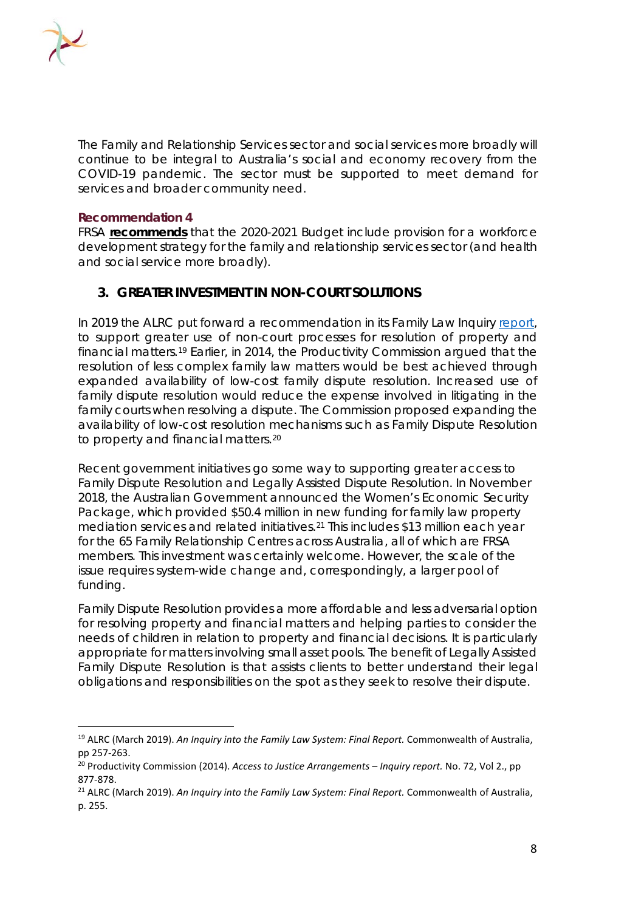

The Family and Relationship Services sector and social services more broadly will continue to be integral to Australia's social and economy recovery from the COVID-19 pandemic. The sector must be supported to meet demand for services and broader community need.

#### **Recommendation 4**

FRSA **recommends** that the 2020-2021 Budget include provision for a workforce development strategy for the family and relationship services sector (and health and social service more broadly).

# **3. GREATER INVESTMENT IN NON-COURT SOLUTIONS**

In 2019 the ALRC put forward a recommendation in its Family Law Inquiry [report,](https://www.alrc.gov.au/inquiry/review-of-the-family-law-system/) to support greater use of non-court processes for resolution of property and financial matters.[19](#page-8-0) Earlier, in 2014, the Productivity Commission argued that the resolution of less complex family law matters would be best achieved through expanded availability of low-cost family dispute resolution. Increased use of family dispute resolution would reduce the expense involved in litigating in the family courts when resolving a dispute. The Commission proposed expanding the availability of low-cost resolution mechanisms such as Family Dispute Resolution to property and financial matters.<sup>[20](#page-8-1)</sup>

Recent government initiatives go some way to supporting greater access to Family Dispute Resolution and Legally Assisted Dispute Resolution. In November 2018, the Australian Government announced the Women's Economic Security Package, which provided \$50.4 million in new funding for family law property mediation services and related initiatives.[21](#page-8-2) This includes \$13 million each year for the 65 Family Relationship Centres across Australia, all of which are FRSA members. This investment was certainly welcome. However, the scale of the issue requires system-wide change and, correspondingly, a larger pool of funding.

Family Dispute Resolution provides a more affordable and less adversarial option for resolving property and financial matters and helping parties to consider the needs of children in relation to property and financial decisions. It is particularly appropriate for matters involving small asset pools. The benefit of Legally Assisted Family Dispute Resolution is that assists clients to better understand their legal obligations and responsibilities on the spot as they seek to resolve their dispute.

<span id="page-8-0"></span><sup>19</sup> ALRC (March 2019). *An Inquiry into the Family Law System: Final Report.* Commonwealth of Australia, pp 257-263.

<span id="page-8-1"></span><sup>20</sup> Productivity Commission (2014). *Access to Justice Arrangements – Inquiry report.* No. 72, Vol 2., pp 877-878.

<span id="page-8-2"></span><sup>21</sup> ALRC (March 2019). *An Inquiry into the Family Law System: Final Report.* Commonwealth of Australia, p. 255.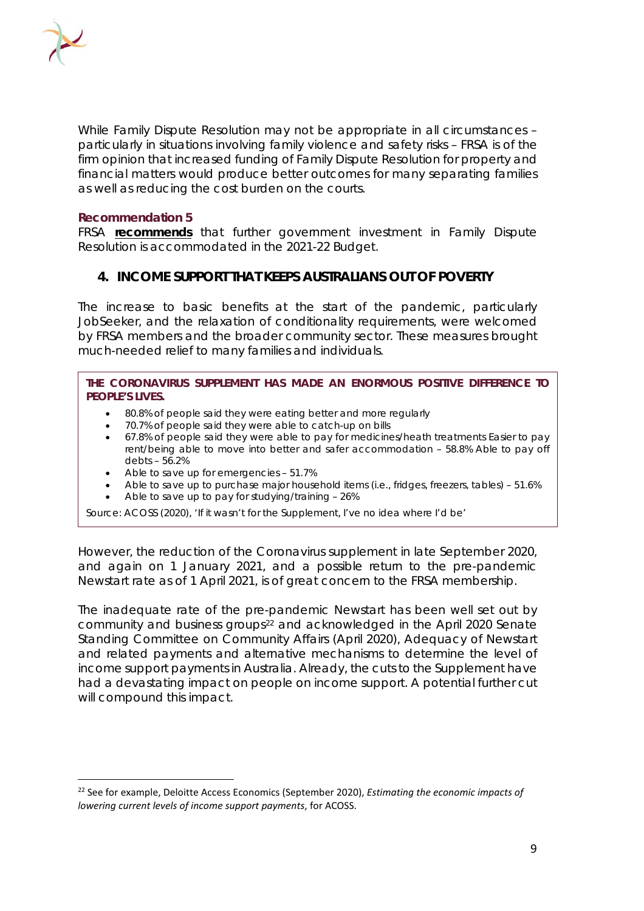

While Family Dispute Resolution may not be appropriate in all circumstances – particularly in situations involving family violence and safety risks – FRSA is of the firm opinion that increased funding of Family Dispute Resolution for property and financial matters would produce better outcomes for many separating families as well as reducing the cost burden on the courts.

#### **Recommendation 5**

FRSA **recommends** that further government investment in Family Dispute Resolution is accommodated in the 2021-22 Budget.

### **4. INCOME SUPPORT THAT KEEPS AUSTRALIANS OUT OF POVERTY**

The increase to basic benefits at the start of the pandemic, particularly JobSeeker, and the relaxation of conditionality requirements, were welcomed by FRSA members and the broader community sector. These measures brought much-needed relief to many families and individuals.

#### **THE CORONAVIRUS SUPPLEMENT HAS MADE AN ENORMOUS POSITIVE DIFFERENCE TO PEOPLE'S LIVES.**

- 80.8% of people said they were eating better and more regularly
- 70.7% of people said they were able to catch-up on bills
- 67.8% of people said they were able to pay for medicines/heath treatments Easier to pay rent/being able to move into better and safer accommodation – 58.8% Able to pay off debts – 56.2%
- Able to save up for emergencies 51.7%
- Able to save up to purchase major household items (i.e., fridges, freezers, tables) 51.6%
- Able to save up to pay for studying/training 26%

*Source: ACOSS (2020), 'If it wasn't for the Supplement, I've no idea where I'd be'*

However, the reduction of the Coronavirus supplement in late September 2020, and again on 1 January 2021, and a possible return to the pre-pandemic Newstart rate as of 1 April 2021, is of great concern to the FRSA membership.

The inadequate rate of the pre-pandemic Newstart has been well set out by community and business groups<sup>22</sup> and acknowledged in the April 2020 Senate Standing Committee on Community Affairs (April 2020), *Adequacy of Newstart and related payments and alternative mechanisms to determine the level of income support payments in Australia.* Already, the cuts to the Supplement have had a devastating impact on people on income support. A potential further cut will compound this impact.

<span id="page-9-0"></span><sup>22</sup> See for example, Deloitte Access Economics (September 2020), *Estimating the economic impacts of lowering current levels of income support payments*, for ACOSS.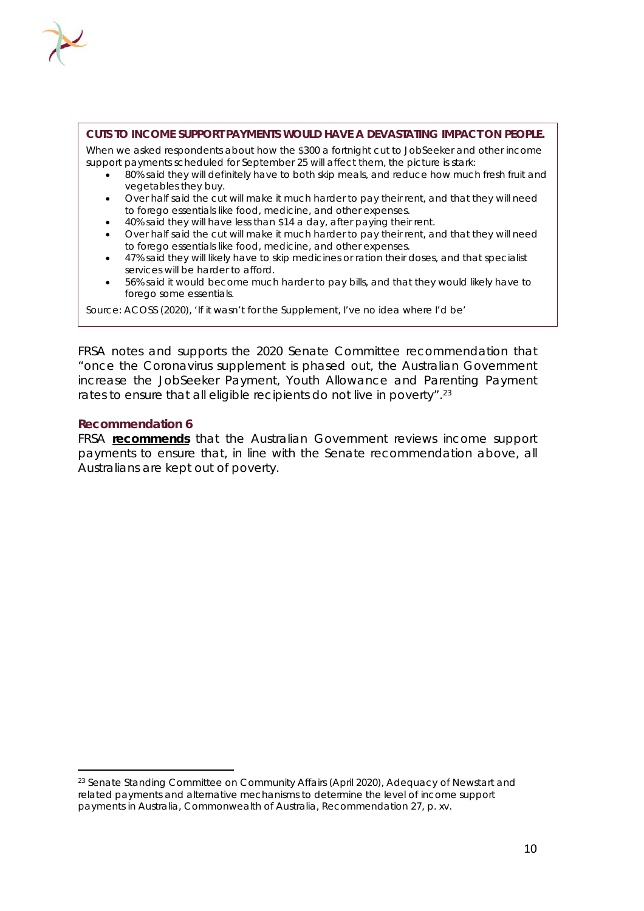

#### **CUTS TO INCOME SUPPORT PAYMENTS WOULD HAVE A DEVASTATING IMPACT ON PEOPLE.**

When we asked respondents about how the \$300 a fortnight cut to JobSeeker and other income support payments scheduled for September 25 will affect them, the picture is stark:

- 80% said they will definitely have to both skip meals, and reduce how much fresh fruit and vegetables they buy.
- Over half said the cut will make it much harder to pay their rent, and that they will need to forego essentials like food, medicine, and other expenses.
- 40% said they will have less than \$14 a day, after paying their rent.
- Over half said the cut will make it much harder to pay their rent, and that they will need to forego essentials like food, medicine, and other expenses.
- 47% said they will likely have to skip medicines or ration their doses, and that specialist services will be harder to afford.
- 56% said it would become much harder to pay bills, and that they would likely have to forego some essentials.

*Source: ACOSS (2020), 'If it wasn't for the Supplement, I've no idea where I'd be'*

FRSA notes and supports the 2020 Senate Committee recommendation that "once the Coronavirus supplement is phased out, the Australian Government increase the JobSeeker Payment, Youth Allowance and Parenting Payment rates to ensure that all eligible recipients do not live in poverty".<sup>[23](#page-10-0)</sup>

#### **Recommendation 6**

FRSA **recommends** that the Australian Government reviews income support payments to ensure that, in line with the Senate recommendation above, all Australians are kept out of poverty.

<span id="page-10-0"></span><sup>23</sup> Senate Standing Committee on Community Affairs (April 2020), *Adequacy of Newstart and related payments and alternative mechanisms to determine the level of income support payments in Australia,* Commonwealth of Australia, Recommendation 27, p. xv.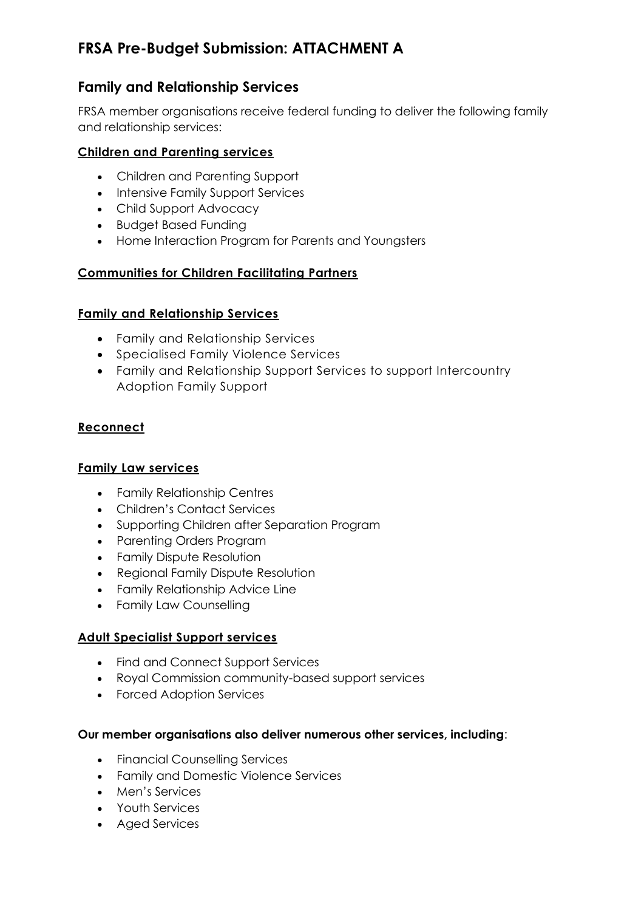# **FRSA Pre-Budget Submission: ATTACHMENT A**

# **Family and Relationship Services**

FRSA member organisations receive federal funding to deliver the following family and relationship services:

# **Children and Parenting services**

- Children and Parenting Support
- Intensive Family Support Services
- Child Support Advocacy
- Budget Based Funding
- Home Interaction Program for Parents and Youngsters

# **Communities for Children Facilitating Partners**

# **Family and Relationship Services**

- Family and Relationship Services
- Specialised Family Violence Services
- Family and Relationship Support Services to support Intercountry Adoption Family Support

# **Reconnect**

# **Family Law services**

- Family Relationship Centres
- Children's Contact Services
- Supporting Children after Separation Program
- Parenting Orders Program
- Family Dispute Resolution
- Regional Family Dispute Resolution
- Family Relationship Advice Line
- Family Law Counselling

# **Adult Specialist Support services**

- Find and Connect Support Services
- Royal Commission community-based support services
- Forced Adoption Services

# **Our member organisations also deliver numerous other services, including**:

- Financial Counselling Services
- Family and Domestic Violence Services
- Men's Services
- Youth Services
- Aged Services